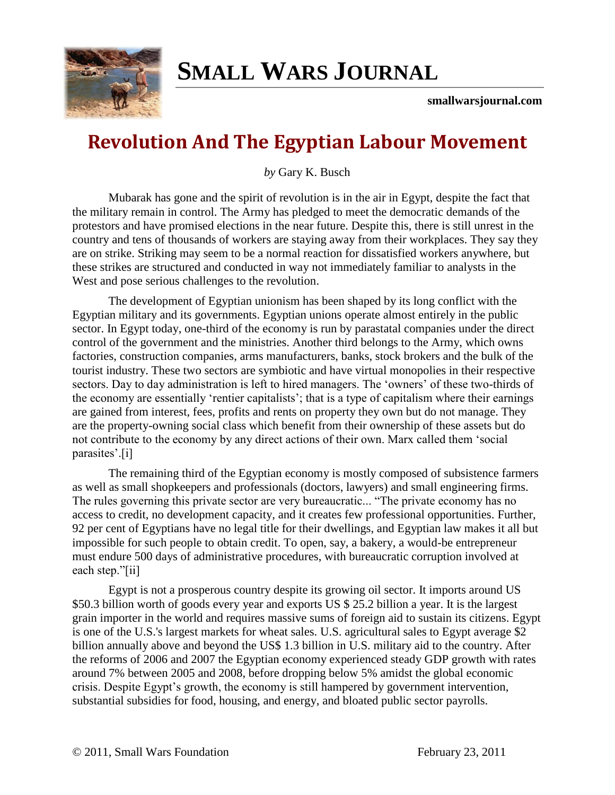

## **SMALL WARS J[OURNAL](http://smallwarsjournal.com/)**

**smallwarsjournal.com**

## **Revolution And The Egyptian Labour Movement**

*by* Gary K. Busch

Mubarak has gone and the spirit of revolution is in the air in Egypt, despite the fact that the military remain in control. The Army has pledged to meet the democratic demands of the protestors and have promised elections in the near future. Despite this, there is still unrest in the country and tens of thousands of workers are staying away from their workplaces. They say they are on strike. Striking may seem to be a normal reaction for dissatisfied workers anywhere, but these strikes are structured and conducted in way not immediately familiar to analysts in the West and pose serious challenges to the revolution.

The development of Egyptian unionism has been shaped by its long conflict with the Egyptian military and its governments. Egyptian unions operate almost entirely in the public sector. In Egypt today, one-third of the economy is run by parastatal companies under the direct control of the government and the ministries. Another third belongs to the Army, which owns factories, construction companies, arms manufacturers, banks, stock brokers and the bulk of the tourist industry. These two sectors are symbiotic and have virtual monopolies in their respective sectors. Day to day administration is left to hired managers. The 'owners' of these two-thirds of the economy are essentially "rentier capitalists"; that is a type of capitalism where their earnings are gained from interest, fees, profits and rents on property they own but do not manage. They are the property-owning social class which benefit from their ownership of these assets but do not contribute to the economy by any direct actions of their own. Marx called them "social parasites'.<sup>[i]</sup>

The remaining third of the Egyptian economy is mostly composed of subsistence farmers as well as small shopkeepers and professionals (doctors, lawyers) and small engineering firms. The rules governing this private sector are very bureaucratic... "The private economy has no access to credit, no development capacity, and it creates few professional opportunities. Further, 92 per cent of Egyptians have no legal title for their dwellings, and Egyptian law makes it all but impossible for such people to obtain credit. To open, say, a bakery, a would-be entrepreneur must endure 500 days of administrative procedures, with bureaucratic corruption involved at each step."[ii]

Egypt is not a prosperous country despite its growing oil sector. It imports around US \$50.3 billion worth of goods every year and exports US \$ 25.2 billion a year. It is the largest grain importer in the world and requires massive sums of foreign aid to sustain its citizens. Egypt is one of the U.S.'s largest markets for wheat sales. U.S. agricultural sales to Egypt average \$2 billion annually above and beyond the US\$ 1.3 billion in U.S. military aid to the country. After the reforms of 2006 and 2007 the Egyptian economy experienced steady GDP growth with rates around 7% between 2005 and 2008, before dropping below 5% amidst the global economic crisis. Despite Egypt's growth, the economy is still hampered by government intervention, substantial subsidies for food, housing, and energy, and bloated public sector payrolls.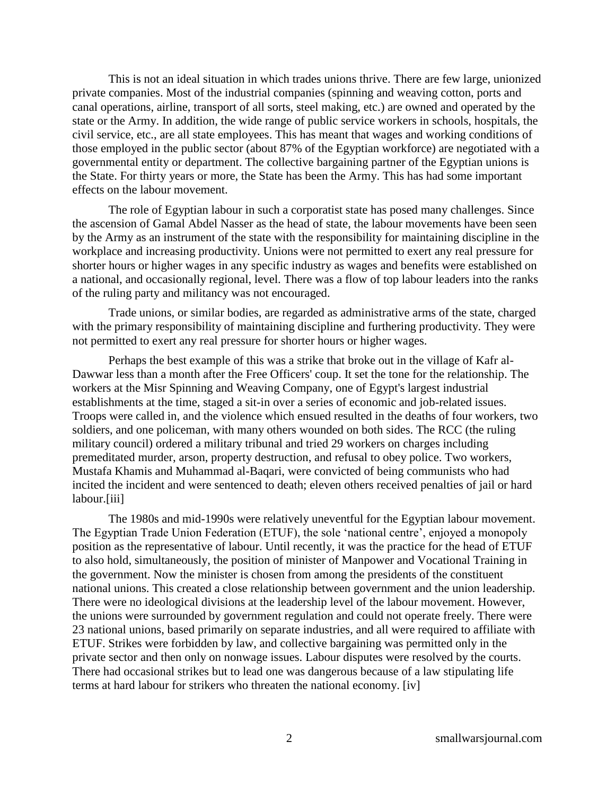This is not an ideal situation in which trades unions thrive. There are few large, unionized private companies. Most of the industrial companies (spinning and weaving cotton, ports and canal operations, airline, transport of all sorts, steel making, etc.) are owned and operated by the state or the Army. In addition, the wide range of public service workers in schools, hospitals, the civil service, etc., are all state employees. This has meant that wages and working conditions of those employed in the public sector (about 87% of the Egyptian workforce) are negotiated with a governmental entity or department. The collective bargaining partner of the Egyptian unions is the State. For thirty years or more, the State has been the Army. This has had some important effects on the labour movement.

The role of Egyptian labour in such a corporatist state has posed many challenges. Since the ascension of Gamal Abdel Nasser as the head of state, the labour movements have been seen by the Army as an instrument of the state with the responsibility for maintaining discipline in the workplace and increasing productivity. Unions were not permitted to exert any real pressure for shorter hours or higher wages in any specific industry as wages and benefits were established on a national, and occasionally regional, level. There was a flow of top labour leaders into the ranks of the ruling party and militancy was not encouraged.

Trade unions, or similar bodies, are regarded as administrative arms of the state, charged with the primary responsibility of maintaining discipline and furthering productivity. They were not permitted to exert any real pressure for shorter hours or higher wages.

Perhaps the best example of this was a strike that broke out in the village of Kafr al-Dawwar less than a month after the Free Officers' coup. It set the tone for the relationship. The workers at the Misr Spinning and Weaving Company, one of Egypt's largest industrial establishments at the time, staged a sit-in over a series of economic and job-related issues. Troops were called in, and the violence which ensued resulted in the deaths of four workers, two soldiers, and one policeman, with many others wounded on both sides. The RCC (the ruling military council) ordered a military tribunal and tried 29 workers on charges including premeditated murder, arson, property destruction, and refusal to obey police. Two workers, Mustafa Khamis and Muhammad al-Baqari, were convicted of being communists who had incited the incident and were sentenced to death; eleven others received penalties of jail or hard labour.[iii]

The 1980s and mid-1990s were relatively uneventful for the Egyptian labour movement. The Egyptian Trade Union Federation (ETUF), the sole "national centre", enjoyed a monopoly position as the representative of labour. Until recently, it was the practice for the head of ETUF to also hold, simultaneously, the position of minister of Manpower and Vocational Training in the government. Now the minister is chosen from among the presidents of the constituent national unions. This created a close relationship between government and the union leadership. There were no ideological divisions at the leadership level of the labour movement. However, the unions were surrounded by government regulation and could not operate freely. There were 23 national unions, based primarily on separate industries, and all were required to affiliate with ETUF. Strikes were forbidden by law, and collective bargaining was permitted only in the private sector and then only on nonwage issues. Labour disputes were resolved by the courts. There had occasional strikes but to lead one was dangerous because of a law stipulating life terms at hard labour for strikers who threaten the national economy. [iv]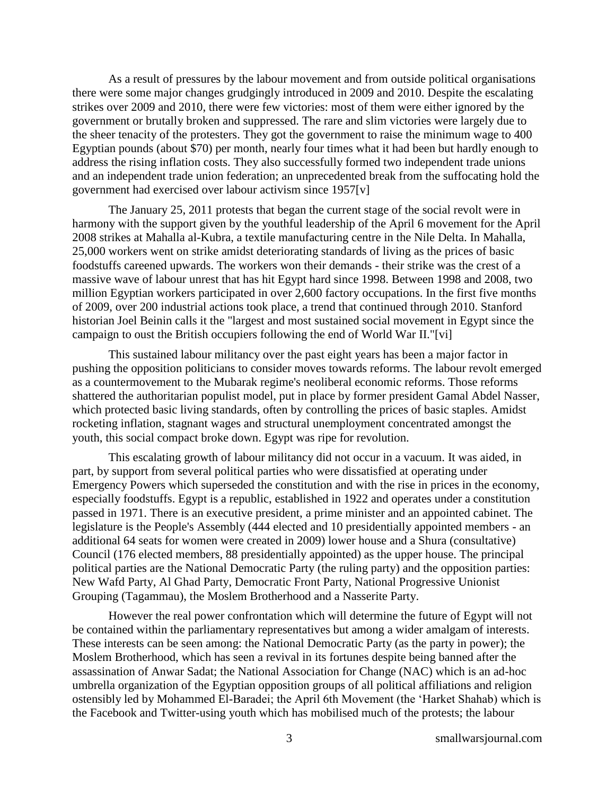As a result of pressures by the labour movement and from outside political organisations there were some major changes grudgingly introduced in 2009 and 2010. Despite the escalating strikes over 2009 and 2010, there were few victories: most of them were either ignored by the government or brutally broken and suppressed. The rare and slim victories were largely due to the sheer tenacity of the protesters. They got the government to raise the minimum wage to 400 Egyptian pounds (about \$70) per month, nearly four times what it had been but hardly enough to address the rising inflation costs. They also successfully formed two independent trade unions and an independent trade union federation; an unprecedented break from the suffocating hold the government had exercised over labour activism since 1957[v]

The January 25, 2011 protests that began the current stage of the social revolt were in harmony with the support given by the youthful leadership of the April 6 movement for the April 2008 strikes at Mahalla al-Kubra, a textile manufacturing centre in the Nile Delta. In Mahalla, 25,000 workers went on strike amidst deteriorating standards of living as the prices of basic foodstuffs careened upwards. The workers won their demands - their strike was the crest of a massive wave of labour unrest that has hit Egypt hard since 1998. Between 1998 and 2008, two million Egyptian workers participated in over 2,600 factory occupations. In the first five months of 2009, over 200 industrial actions took place, a trend that continued through 2010. Stanford historian Joel Beinin calls it the "largest and most sustained social movement in Egypt since the campaign to oust the British occupiers following the end of World War II."[vi]

This sustained labour militancy over the past eight years has been a major factor in pushing the opposition politicians to consider moves towards reforms. The labour revolt emerged as a countermovement to the Mubarak regime's neoliberal economic reforms. Those reforms shattered the authoritarian populist model, put in place by former president Gamal Abdel Nasser, which protected basic living standards, often by controlling the prices of basic staples. Amidst rocketing inflation, stagnant wages and structural unemployment concentrated amongst the youth, this social compact broke down. Egypt was ripe for revolution.

This escalating growth of labour militancy did not occur in a vacuum. It was aided, in part, by support from several political parties who were dissatisfied at operating under Emergency Powers which superseded the constitution and with the rise in prices in the economy, especially foodstuffs. Egypt is a republic, established in 1922 and operates under a constitution passed in 1971. There is an executive president, a prime minister and an appointed cabinet. The legislature is the People's Assembly (444 elected and 10 presidentially appointed members - an additional 64 seats for women were created in 2009) lower house and a Shura (consultative) Council (176 elected members, 88 presidentially appointed) as the upper house. The principal political parties are the National Democratic Party (the ruling party) and the opposition parties: New Wafd Party, Al Ghad Party, Democratic Front Party, National Progressive Unionist Grouping (Tagammau), the Moslem Brotherhood and a Nasserite Party.

However the real power confrontation which will determine the future of Egypt will not be contained within the parliamentary representatives but among a wider amalgam of interests. These interests can be seen among: the National Democratic Party (as the party in power); the Moslem Brotherhood, which has seen a revival in its fortunes despite being banned after the assassination of Anwar Sadat; the National Association for Change (NAC) which is an ad-hoc umbrella organization of the Egyptian opposition groups of all political affiliations and religion ostensibly led by Mohammed El-Baradei; the April 6th Movement (the "Harket Shahab) which is the Facebook and Twitter-using youth which has mobilised much of the protests; the labour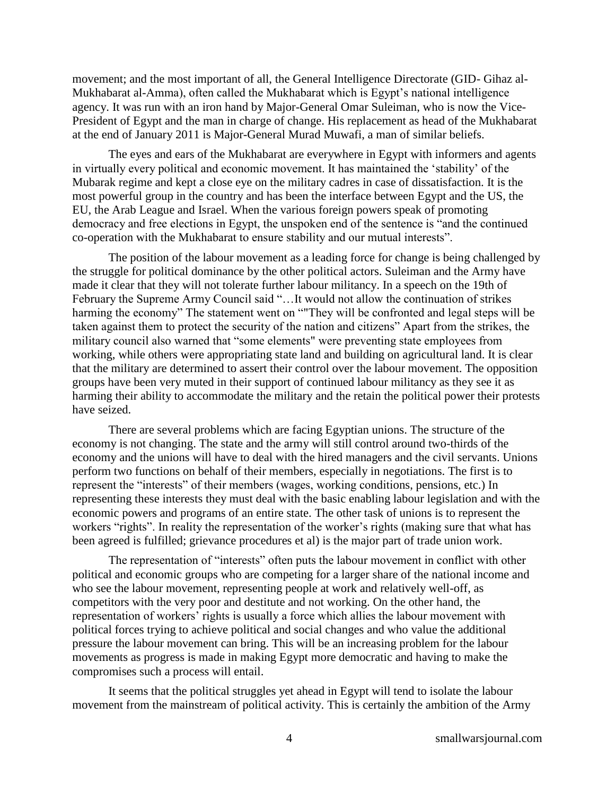movement; and the most important of all, the General Intelligence Directorate (GID- Gihaz al-Mukhabarat al-Amma), often called the Mukhabarat which is Egypt's national intelligence agency. It was run with an iron hand by Major-General Omar Suleiman, who is now the Vice-President of Egypt and the man in charge of change. His replacement as head of the Mukhabarat at the end of January 2011 is Major-General Murad Muwafi, a man of similar beliefs.

The eyes and ears of the Mukhabarat are everywhere in Egypt with informers and agents in virtually every political and economic movement. It has maintained the "stability" of the Mubarak regime and kept a close eye on the military cadres in case of dissatisfaction. It is the most powerful group in the country and has been the interface between Egypt and the US, the EU, the Arab League and Israel. When the various foreign powers speak of promoting democracy and free elections in Egypt, the unspoken end of the sentence is "and the continued co-operation with the Mukhabarat to ensure stability and our mutual interests".

The position of the labour movement as a leading force for change is being challenged by the struggle for political dominance by the other political actors. Suleiman and the Army have made it clear that they will not tolerate further labour militancy. In a speech on the 19th of February the Supreme Army Council said "…It would not allow the continuation of strikes harming the economy" The statement went on ""They will be confronted and legal steps will be taken against them to protect the security of the nation and citizens" Apart from the strikes, the military council also warned that "some elements" were preventing state employees from working, while others were appropriating state land and building on agricultural land. It is clear that the military are determined to assert their control over the labour movement. The opposition groups have been very muted in their support of continued labour militancy as they see it as harming their ability to accommodate the military and the retain the political power their protests have seized.

There are several problems which are facing Egyptian unions. The structure of the economy is not changing. The state and the army will still control around two-thirds of the economy and the unions will have to deal with the hired managers and the civil servants. Unions perform two functions on behalf of their members, especially in negotiations. The first is to represent the "interests" of their members (wages, working conditions, pensions, etc.) In representing these interests they must deal with the basic enabling labour legislation and with the economic powers and programs of an entire state. The other task of unions is to represent the workers "rights". In reality the representation of the worker's rights (making sure that what has been agreed is fulfilled; grievance procedures et al) is the major part of trade union work.

The representation of "interests" often puts the labour movement in conflict with other political and economic groups who are competing for a larger share of the national income and who see the labour movement, representing people at work and relatively well-off, as competitors with the very poor and destitute and not working. On the other hand, the representation of workers' rights is usually a force which allies the labour movement with political forces trying to achieve political and social changes and who value the additional pressure the labour movement can bring. This will be an increasing problem for the labour movements as progress is made in making Egypt more democratic and having to make the compromises such a process will entail.

It seems that the political struggles yet ahead in Egypt will tend to isolate the labour movement from the mainstream of political activity. This is certainly the ambition of the Army